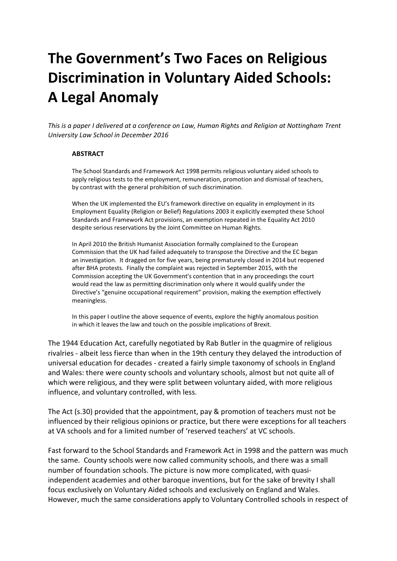## **The Government's Two Faces on Religious Discrimination in Voluntary Aided Schools: A Legal Anomaly**

*This is a paper I delivered at a conference on Law, Human Rights and Religion at Nottingham Trent University Law School in December 2016*

## **ABSTRACT**

The School Standards and Framework Act 1998 permits religious voluntary aided schools to apply religious tests to the employment, remuneration, promotion and dismissal of teachers, by contrast with the general prohibition of such discrimination.

When the UK implemented the EU's framework directive on equality in employment in its Employment Equality (Religion or Belief) Regulations 2003 it explicitly exempted these School Standards and Framework Act provisions, an exemption repeated in the Equality Act 2010 despite serious reservations by the Joint Committee on Human Rights.

In April 2010 the British Humanist Association formally complained to the European Commission that the UK had failed adequately to transpose the Directive and the EC began an investigation. It dragged on for five years, being prematurely closed in 2014 but reopened after BHA protests. Finally the complaint was rejected in September 2015, with the Commission accepting the UK Government's contention that in any proceedings the court would read the law as permitting discrimination only where it would qualify under the Directive's "genuine occupational requirement" provision, making the exemption effectively meaningless.

In this paper I outline the above sequence of events, explore the highly anomalous position in which it leaves the law and touch on the possible implications of Brexit.

The 1944 Education Act, carefully negotiated by Rab Butler in the quagmire of religious rivalries - albeit less fierce than when in the 19th century they delayed the introduction of universal education for decades - created a fairly simple taxonomy of schools in England and Wales: there were county schools and voluntary schools, almost but not quite all of which were religious, and they were split between voluntary aided, with more religious influence, and voluntary controlled, with less.

The Act (s.30) provided that the appointment, pay & promotion of teachers must not be influenced by their religious opinions or practice, but there were exceptions for all teachers at VA schools and for a limited number of 'reserved teachers' at VC schools.

Fast forward to the School Standards and Framework Act in 1998 and the pattern was much the same. County schools were now called community schools, and there was a small number of foundation schools. The picture is now more complicated, with quasiindependent academies and other baroque inventions, but for the sake of brevity I shall focus exclusively on Voluntary Aided schools and exclusively on England and Wales. However, much the same considerations apply to Voluntary Controlled schools in respect of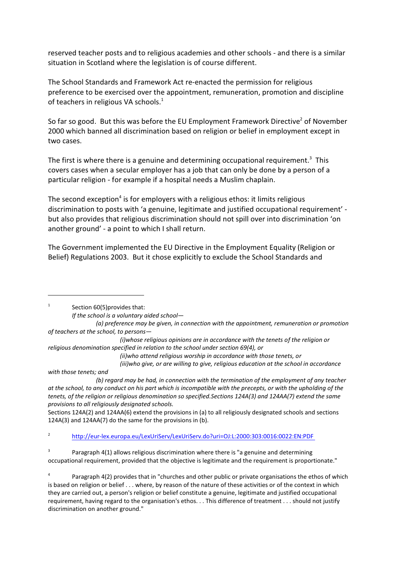reserved teacher posts and to religious academies and other schools - and there is a similar situation in Scotland where the legislation is of course different.

The School Standards and Framework Act re-enacted the permission for religious preference to be exercised over the appointment, remuneration, promotion and discipline of teachers in religious VA schools.<sup>1</sup>

So far so good. But this was before the EU Employment Framework Directive<sup>2</sup> of November 2000 which banned all discrimination based on religion or belief in employment except in two cases.

The first is where there is a genuine and determining occupational requirement.<sup>3</sup> This covers cases when a secular employer has a job that can only be done by a person of a particular religion - for example if a hospital needs a Muslim chaplain.

The second exception $^4$  is for employers with a religious ethos: it limits religious discrimination to posts with 'a genuine, legitimate and justified occupational requirement' but also provides that religious discrimination should not spill over into discrimination 'on another ground' - a point to which I shall return.

The Government implemented the EU Directive in the Employment Equality (Religion or Belief) Regulations 2003. But it chose explicitly to exclude the School Standards and

1 Section 60(5)provides that:

*(ii)who attend religious worship in accordance with those tenets, or*

*(iii)who give, or are willing to give, religious education at the school in accordance*

*with those tenets; and*

Sections 124A(2) and 124AA(6) extend the provisions in (a) to all religiously designated schools and sections 124A(3) and 124AA(7) do the same for the provisions in (b).

2 <http://eur-lex.europa.eu/LexUriServ/LexUriServ.do?uri=OJ:L:2000:303:0016:0022:EN:PDF>

3 Paragraph 4(1) allows religious discrimination where there is "a genuine and determining occupational requirement, provided that the objective is legitimate and the requirement is proportionate."

*If the school is a voluntary aided school—*

*<sup>(</sup>a) preference may be given, in connection with the appointment, remuneration or promotion of teachers at the school, to persons—*

*<sup>(</sup>i)whose religious opinions are in accordance with the tenets of the religion or religious denomination specified in relation to the school under section 69(4), or*

*<sup>(</sup>b) regard may be had, in connection with the termination of the employment of any teacher at the school, to any conduct on his part which is incompatible with the precepts, or with the upholding of the tenets, of the religion or religious denomination so specified.Sections 124A(3) and 124AA(7) extend the same provisions to all religiously designated schools.*

<sup>4</sup> Paragraph 4(2) provides that in "churches and other public or private organisations the ethos of which is based on religion or belief . . . where, by reason of the nature of these activities or of the context in which they are carried out, a person's religion or belief constitute a genuine, legitimate and justified occupational requirement, having regard to the organisation's ethos. . . This difference of treatment . . . should not justify discrimination on another ground."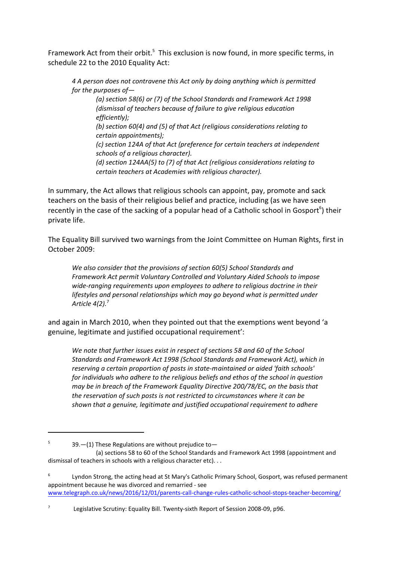Framework Act from their orbit.<sup>5</sup> This exclusion is now found, in more specific terms, in schedule 22 to the 2010 Equality Act:

*4 A person does not contravene this Act only by doing anything which is permitted for the purposes of—* 

*(a) section 58(6) or (7) of the School Standards and Framework Act 1998 (dismissal of teachers because of failure to give religious education efficiently);*

*(b) section 60(4) and (5) of that Act (religious considerations relating to certain appointments);*

*(c) section 124A of that Act (preference for certain teachers at independent schools of a religious character).* 

*(d) section 124AA(5) to (7) of that Act (religious considerations relating to certain teachers at Academies with religious character).*

In summary, the Act allows that religious schools can appoint, pay, promote and sack teachers on the basis of their religious belief and practice, including (as we have seen recently in the case of the sacking of a popular head of a Catholic school in Gosport<sup>6</sup>) their private life.

The Equality Bill survived two warnings from the Joint Committee on Human Rights, first in October 2009:

*We also consider that the provisions of section 60(5) School Standards and Framework Act permit Voluntary Controlled and Voluntary Aided Schools to impose wide-ranging requirements upon employees to adhere to religious doctrine in their lifestyles and personal relationships which may go beyond what is permitted under Article 4(2).*<sup>7</sup>

and again in March 2010, when they pointed out that the exemptions went beyond 'a genuine, legitimate and justified occupational requirement':

*We note that further issues exist in respect of sections 58 and 60 of the School Standards and Framework Act 1998 (School Standards and Framework Act), which in reserving a certain proportion of posts in state-maintained or aided 'faith schools' for individuals who adhere to the religious beliefs and ethos of the school in question may be in breach of the Framework Equality Directive 200/78/EC, on the basis that the reservation of such posts is not restricted to circumstances where it can be shown that a genuine, legitimate and justified occupational requirement to adhere*

5

<sup>39.—(1)</sup> These Regulations are without prejudice to—

<sup>(</sup>a) sections 58 to 60 of the School Standards and Framework Act 1998 (appointment and dismissal of teachers in schools with a religious character etc). . .

<sup>6</sup> Lyndon Strong, the acting head at St Mary's Catholic Primary School, Gosport, was refused permanent appointment because he was divorced and remarried - see [www.telegraph.co.uk/news/2016/12/01/parents-call-change-rules-catholic-school-stops-teacher-becoming/](http://www.telegraph.co.uk/news/2016/12/01/parents-call-change-rules-catholic-school-stops-teacher-becoming/)

<sup>7</sup> Legislative Scrutiny: Equality Bill. Twenty-sixth Report of Session 2008-09, p96.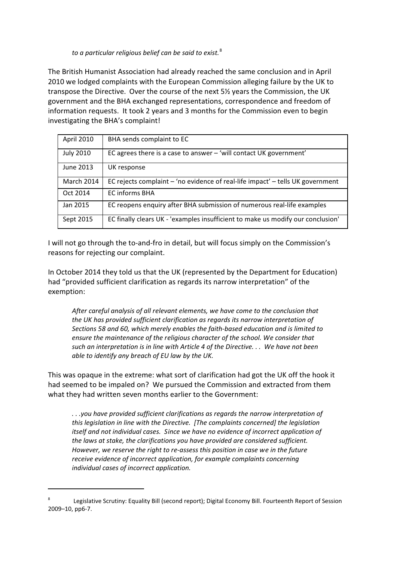*to a particular religious belief can be said to exist.*<sup>8</sup>

The British Humanist Association had already reached the same conclusion and in April 2010 we lodged complaints with the European Commission alleging failure by the UK to transpose the Directive. Over the course of the next 5½ years the Commission, the UK government and the BHA exchanged representations, correspondence and freedom of information requests. It took 2 years and 3 months for the Commission even to begin investigating the BHA's complaint!

| April 2010        | BHA sends complaint to EC                                                       |
|-------------------|---------------------------------------------------------------------------------|
| <b>July 2010</b>  | EC agrees there is a case to answer $-$ 'will contact UK government'            |
| June 2013         | UK response                                                                     |
| <b>March 2014</b> | EC rejects complaint - 'no evidence of real-life impact' - tells UK government  |
| Oct 2014          | <b>EC informs BHA</b>                                                           |
| Jan 2015          | EC reopens enquiry after BHA submission of numerous real-life examples          |
| Sept 2015         | EC finally clears UK - 'examples insufficient to make us modify our conclusion' |

I will not go through the to-and-fro in detail, but will focus simply on the Commission's reasons for rejecting our complaint.

In October 2014 they told us that the UK (represented by the Department for Education) had "provided sufficient clarification as regards its narrow interpretation" of the exemption:

*After careful analysis of all relevant elements, we have come to the conclusion that the UK has provided sufficient clarification as regards its narrow interpretation of Sections 58 and 60, which merely enables the faith-based education and is limited to ensure the maintenance of the religious character of the school. We consider that such an interpretation is in line with Article 4 of the Directive. . . We have not been able to identify any breach of EU law by the UK.*

This was opaque in the extreme: what sort of clarification had got the UK off the hook it had seemed to be impaled on? We pursued the Commission and extracted from them what they had written seven months earlier to the Government:

*. . .you have provided sufficient clarifications as regards the narrow interpretation of this legislation in line with the Directive. [The complaints concerned] the legislation itself and not individual cases. Since we have no evidence of incorrect application of the laws at stake, the clarifications you have provided are considered sufficient. However, we reserve the right to re-assess this position in case we in the future receive evidence of incorrect application, for example complaints concerning individual cases of incorrect application.* 

<sup>8</sup> Legislative Scrutiny: Equality Bill (second report); Digital Economy Bill. Fourteenth Report of Session 2009–10, pp6-7.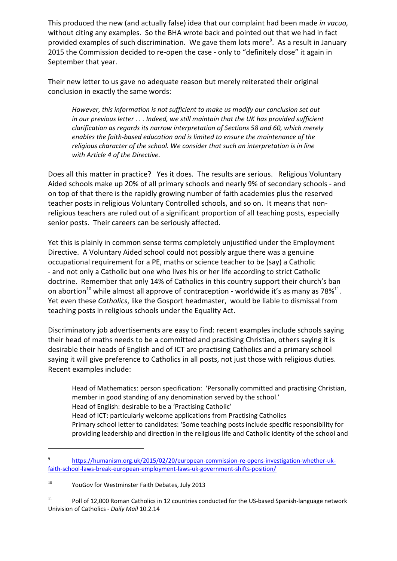This produced the new (and actually false) idea that our complaint had been made *in vacuo,* without citing any examples. So the BHA wrote back and pointed out that we had in fact provided examples of such discrimination. We gave them lots more<sup>9</sup>. As a result in January 2015 the Commission decided to re-open the case - only to "definitely close" it again in September that year.

Their new letter to us gave no adequate reason but merely reiterated their original conclusion in exactly the same words:

*However, this information is not sufficient to make us modify our conclusion set out in our previous letter . . . Indeed, we still maintain that the UK has provided sufficient clarification as regards its narrow interpretation of Sections 58 and 60, which merely enables the faith-based education and is limited to ensure the maintenance of the religious character of the school. We consider that such an interpretation is in line with Article 4 of the Directive.*

Does all this matter in practice? Yes it does. The results are serious. Religious Voluntary Aided schools make up 20% of all primary schools and nearly 9% of secondary schools - and on top of that there is the rapidly growing number of faith academies plus the reserved teacher posts in religious Voluntary Controlled schools, and so on. It means that nonreligious teachers are ruled out of a significant proportion of all teaching posts, especially senior posts. Their careers can be seriously affected.

Yet this is plainly in common sense terms completely unjustified under the Employment Directive. A Voluntary Aided school could not possibly argue there was a genuine occupational requirement for a PE, maths or science teacher to be (say) a Catholic - and not only a Catholic but one who lives his or her life according to strict Catholic doctrine. Remember that only 14% of Catholics in this country support their church's ban on abortion<sup>10</sup> while almost all approve of contraception - worldwide it's as many as 78%<sup>11</sup>. Yet even these *Catholics*, like the Gosport headmaster, would be liable to dismissal from teaching posts in religious schools under the Equality Act.

Discriminatory job advertisements are easy to find: recent examples include schools saying their head of maths needs to be a committed and practising Christian, others saying it is desirable their heads of English and of ICT are practising Catholics and a primary school saying it will give preference to Catholics in all posts, not just those with religious duties. Recent examples include:

Head of Mathematics: person specification: 'Personally committed and practising Christian, member in good standing of any denomination served by the school.' Head of English: desirable to be a 'Practising Catholic' Head of ICT: particularly welcome applications from Practising Catholics Primary school letter to candidates: 'Some teaching posts include specific responsibility for providing leadership and direction in the religious life and Catholic identity of the school and

<sup>9</sup> [https://humanism.org.uk/2015/02/20/european-commission-re-opens-investigation-whether-uk](https://humanism.org.uk/2015/02/20/european-commission-re-opens-investigation-whether-uk-faith-school-laws-break-european-employment-laws-uk-government-shifts-position/%20)[faith-school-laws-break-european-employment-laws-uk-government-shifts-position/](https://humanism.org.uk/2015/02/20/european-commission-re-opens-investigation-whether-uk-faith-school-laws-break-european-employment-laws-uk-government-shifts-position/%20)

<sup>10</sup> YouGov for Westminster Faith Debates, July 2013

<sup>&</sup>lt;sup>11</sup> Poll of 12,000 Roman Catholics in 12 countries conducted for the US-based Spanish-language network Univision of Catholics - *Daily Mail* 10.2.14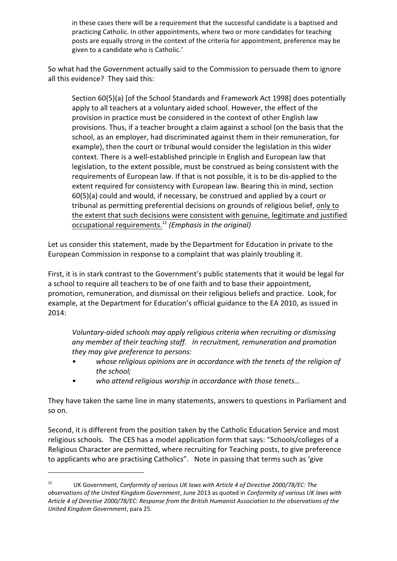in these cases there will be a requirement that the successful candidate is a baptised and practicing Catholic. In other appointments, where two or more candidates for teaching posts are equally strong in the context of the criteria for appointment, preference may be given to a candidate who is Catholic.'

So what had the Government actually said to the Commission to persuade them to ignore all this evidence? They said this:

Section 60(5)(a) [of the School Standards and Framework Act 1998] does potentially apply to all teachers at a voluntary aided school. However, the effect of the provision in practice must be considered in the context of other English law provisions. Thus, if a teacher brought a claim against a school (on the basis that the school, as an employer, had discriminated against them in their remuneration, for example), then the court or tribunal would consider the legislation in this wider context. There is a well-established principle in English and European law that legislation, to the extent possible, must be construed as being consistent with the requirements of European law. If that is not possible, it is to be dis-applied to the extent required for consistency with European law. Bearing this in mind, section 60(5)(a) could and would, if necessary, be construed and applied by a court or tribunal as permitting preferential decisions on grounds of religious belief, only to the extent that such decisions were consistent with genuine, legitimate and justified occupational requirements.<sup>12</sup> *(Emphasis in the original)*

Let us consider this statement, made by the Department for Education in private to the European Commission in response to a complaint that was plainly troubling it.

First, it is in stark contrast to the Government's public statements that it would be legal for a school to require all teachers to be of one faith and to base their appointment, promotion, remuneration, and dismissal on their religious beliefs and practice. Look, for example, at the Department for Education's official guidance to the EA 2010, as issued in 2014:

*Voluntary-aided schools may apply religious criteria when recruiting or dismissing any member of their teaching staff. In recruitment, remuneration and promotion they may give preference to persons:* 

- *• whose religious opinions are in accordance with the tenets of the religion of the school;*
- *• who attend religious worship in accordance with those tenets…*

They have taken the same line in many statements, answers to questions in Parliament and so on.

Second, it is different from the position taken by the Catholic Education Service and most religious schools. The CES has a model application form that says: "Schools/colleges of a Religious Character are permitted, where recruiting for Teaching posts, to give preference to applicants who are practising Catholics". Note in passing that terms such as 'give

<sup>12</sup> UK Government, *Conformity of various UK laws with Article 4 of Directive 2000/78/EC: The observations of the United Kingdom Government*, June 2013 as quoted in *Conformity of various UK laws with Article 4 of Directive 2000/78/EC: Response from the British Humanist Association to the observations of the United Kingdom Government*, para 25.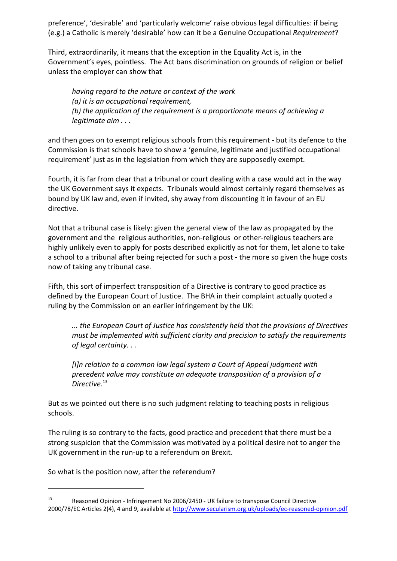preference', 'desirable' and 'particularly welcome' raise obvious legal difficulties: if being (e.g.) a Catholic is merely 'desirable' how can it be a Genuine Occupational *Requirement*?

Third, extraordinarily, it means that the exception in the Equality Act is, in the Government's eyes, pointless. The Act bans discrimination on grounds of religion or belief unless the employer can show that

*having regard to the nature or context of the work (a) it is an occupational requirement, (b) the application of the requirement is a proportionate means of achieving a legitimate aim . . .*

and then goes on to exempt religious schools from this requirement - but its defence to the Commission is that schools have to show a 'genuine, legitimate and justified occupational requirement' just as in the legislation from which they are supposedly exempt.

Fourth, it is far from clear that a tribunal or court dealing with a case would act in the way the UK Government says it expects. Tribunals would almost certainly regard themselves as bound by UK law and, even if invited, shy away from discounting it in favour of an EU directive.

Not that a tribunal case is likely: given the general view of the law as propagated by the government and the religious authorities, non-religious or other-religious teachers are highly unlikely even to apply for posts described explicitly as not for them, let alone to take a school to a tribunal after being rejected for such a post - the more so given the huge costs now of taking any tribunal case.

Fifth, this sort of imperfect transposition of a Directive is contrary to good practice as defined by the European Court of Justice. The BHA in their complaint actually quoted a ruling by the Commission on an earlier infringement by the UK:

*... the European Court of Justice has consistently held that the provisions of Directives must be implemented with sufficient clarity and precision to satisfy the requirements of legal certainty. . .* 

*[I]n relation to a common law legal system a Court of Appeal judgment with precedent value may constitute an adequate transposition of a provision of a Directive*. 13

But as we pointed out there is no such judgment relating to teaching posts in religious schools.

The ruling is so contrary to the facts, good practice and precedent that there must be a strong suspicion that the Commission was motivated by a political desire not to anger the UK government in the run-up to a referendum on Brexit.

So what is the position now, after the referendum?

<sup>13</sup> Reasoned Opinion - Infringement No 2006/2450 - UK failure to transpose Council Directive 2000/78/EC Articles 2(4), 4 and 9, available at <http://www.secularism.org.uk/uploads/ec-reasoned-opinion.pdf>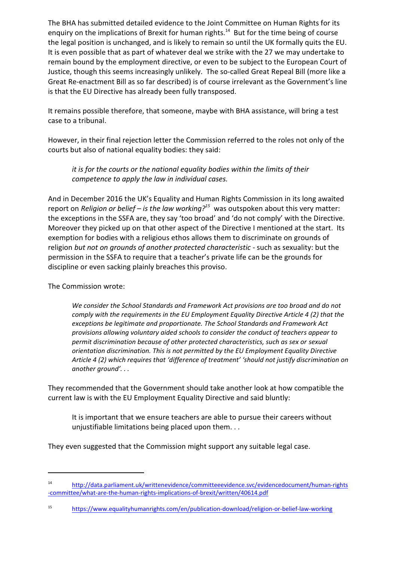The BHA has submitted detailed evidence to the Joint Committee on Human Rights for its enquiry on the implications of Brexit for human rights.<sup>14</sup> But for the time being of course the legal position is unchanged, and is likely to remain so until the UK formally quits the EU. It is even possible that as part of whatever deal we strike with the 27 we may undertake to remain bound by the employment directive, or even to be subject to the European Court of Justice, though this seems increasingly unlikely. The so-called Great Repeal Bill (more like a Great Re-enactment Bill as so far described) is of course irrelevant as the Government's line is that the EU Directive has already been fully transposed.

It remains possible therefore, that someone, maybe with BHA assistance, will bring a test case to a tribunal.

However, in their final rejection letter the Commission referred to the roles not only of the courts but also of national equality bodies: they said:

*it is for the courts or the national equality bodies within the limits of their competence to apply the law in individual cases.*

And in December 2016 the UK's Equality and Human Rights Commission in its long awaited report on *Religion or belief – is the law working?<sup>15</sup>* was outspoken about this very matter: the exceptions in the SSFA are, they say 'too broad' and 'do not comply' with the Directive. Moreover they picked up on that other aspect of the Directive I mentioned at the start. Its exemption for bodies with a religious ethos allows them to discriminate on grounds of religion *but not on grounds of another protected characteristic* - such as sexuality: but the permission in the SSFA to require that a teacher's private life can be the grounds for discipline or even sacking plainly breaches this proviso.

The Commission wrote:

*We consider the School Standards and Framework Act provisions are too broad and do not comply with the requirements in the EU Employment Equality Directive Article 4 (2) that the exceptions be legitimate and proportionate. The School Standards and Framework Act provisions allowing voluntary aided schools to consider the conduct of teachers appear to permit discrimination because of other protected characteristics, such as sex or sexual orientation discrimination. This is not permitted by the EU Employment Equality Directive Article 4 (2) which requires that 'difference of treatment' 'should not justify discrimination on another ground'. . .* 

They recommended that the Government should take another look at how compatible the current law is with the EU Employment Equality Directive and said bluntly:

It is important that we ensure teachers are able to pursue their careers without unjustifiable limitations being placed upon them. . .

They even suggested that the Commission might support any suitable legal case.

<sup>14</sup> [http://data.parliament.uk/writtenevidence/committeeevidence.svc/evidencedocument/human-rights](http://data.parliament.uk/writtenevidence/committeeevidence.svc/evidencedocument/human-rights-committee/what-are-the-human-rights-implications-of-brexit/written/40614.pdf) [-committee/what-are-the-human-rights-implications-of-brexit/written/40614.pdf](http://data.parliament.uk/writtenevidence/committeeevidence.svc/evidencedocument/human-rights-committee/what-are-the-human-rights-implications-of-brexit/written/40614.pdf)

<sup>15</sup> <https://www.equalityhumanrights.com/en/publication-download/religion-or-belief-law-working>